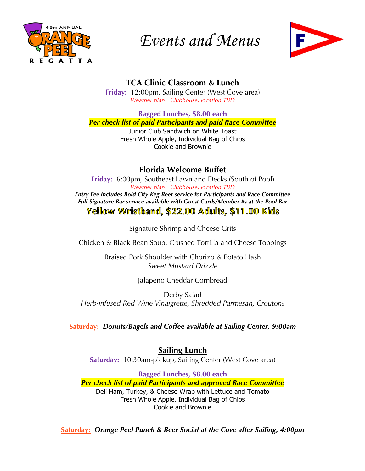

# *Events and Menus*



## **TCA Clinic Classroom & Lunch**

**Friday:** 12:00pm, Sailing Center (West Cove area) *Weather plan: Clubhouse, location TBD*

**Bagged Lunches, \$8.00 each**

*Per check list of paid Participants and paid Race Committee*

Junior Club Sandwich on White Toast Fresh Whole Apple, Individual Bag of Chips Cookie and Brownie

## **Florida Welcome Buffet**

**Friday:** 6:00pm, Southeast Lawn and Decks (South of Pool) *Weather plan: Clubhouse, location TBD Entry Fee includes Bold City Keg Beer service for Participants and Race Committee Full Signature Bar service available with Guest Cards/Member #s at the Pool Bar* Yellow Wristband, \$22.00 Adults, \$11.00 Kids

Signature Shrimp and Cheese Grits

Chicken & Black Bean Soup, Crushed Tortilla and Cheese Toppings

Braised Pork Shoulder with Chorizo & Potato Hash *Sweet Mustard Drizzle*

Jalapeno Cheddar Cornbread

Derby Salad *Herb-infused Red Wine Vinaigrette, Shredded Parmesan, Croutons*

**Saturday:** *Donuts/Bagels and Coffee available at Sailing Center, 9:00am*

**Sailing Lunch Saturday:** 10:30am-pickup, Sailing Center (West Cove area)

**Bagged Lunches, \$8.00 each** *Per check list of paid Participants and approved Race Committee* Deli Ham, Turkey, & Cheese Wrap with Lettuce and Tomato Fresh Whole Apple, Individual Bag of Chips Cookie and Brownie

**Saturday:** *Orange Peel Punch & Beer Social at the Cove after Sailing, 4:00pm*